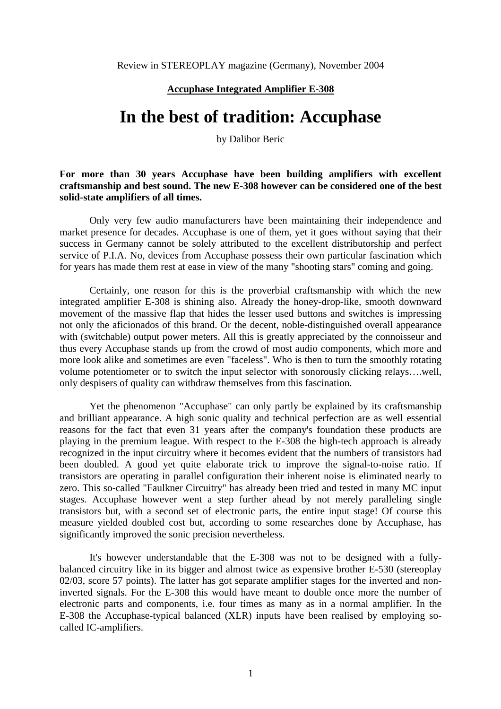Review in STEREOPLAY magazine (Germany), November 2004

## **Accuphase Integrated Amplifier E-308**

## **In the best of tradition: Accuphase**

by Dalibor Beric

**For more than 30 years Accuphase have been building amplifiers with excellent craftsmanship and best sound. The new E-308 however can be considered one of the best solid-state amplifiers of all times.** 

 Only very few audio manufacturers have been maintaining their independence and market presence for decades. Accuphase is one of them, yet it goes without saying that their success in Germany cannot be solely attributed to the excellent distributorship and perfect service of P.I.A. No, devices from Accuphase possess their own particular fascination which for years has made them rest at ease in view of the many "shooting stars" coming and going.

 Certainly, one reason for this is the proverbial craftsmanship with which the new integrated amplifier E-308 is shining also. Already the honey-drop-like, smooth downward movement of the massive flap that hides the lesser used buttons and switches is impressing not only the aficionados of this brand. Or the decent, noble-distinguished overall appearance with (switchable) output power meters. All this is greatly appreciated by the connoisseur and thus every Accuphase stands up from the crowd of most audio components, which more and more look alike and sometimes are even "faceless". Who is then to turn the smoothly rotating volume potentiometer or to switch the input selector with sonorously clicking relays….well, only despisers of quality can withdraw themselves from this fascination.

 Yet the phenomenon "Accuphase" can only partly be explained by its craftsmanship and brilliant appearance. A high sonic quality and technical perfection are as well essential reasons for the fact that even 31 years after the company's foundation these products are playing in the premium league. With respect to the E-308 the high-tech approach is already recognized in the input circuitry where it becomes evident that the numbers of transistors had been doubled. A good yet quite elaborate trick to improve the signal-to-noise ratio. If transistors are operating in parallel configuration their inherent noise is eliminated nearly to zero. This so-called "Faulkner Circuitry" has already been tried and tested in many MC input stages. Accuphase however went a step further ahead by not merely paralleling single transistors but, with a second set of electronic parts, the entire input stage! Of course this measure yielded doubled cost but, according to some researches done by Accuphase, has significantly improved the sonic precision nevertheless.

 It's however understandable that the E-308 was not to be designed with a fullybalanced circuitry like in its bigger and almost twice as expensive brother E-530 (stereoplay 02/03, score 57 points). The latter has got separate amplifier stages for the inverted and noninverted signals. For the E-308 this would have meant to double once more the number of electronic parts and components, i.e. four times as many as in a normal amplifier. In the E-308 the Accuphase-typical balanced (XLR) inputs have been realised by employing socalled IC-amplifiers.